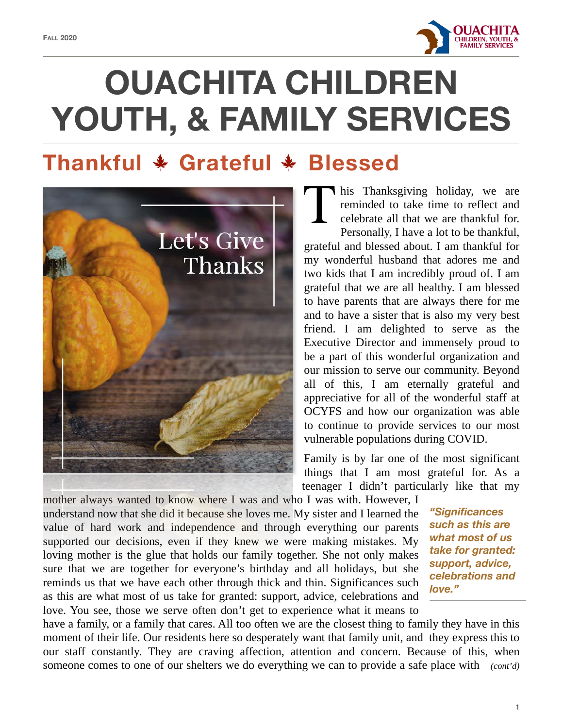

# **OUACHITA CHILDREN YOUTH, & FAMILY SERVICES**

# **Thankful \* Grateful \* Blessed**



I his Thanksgiving holiday, we are reminded to take time to reflect and celebrate all that we are thankful for. Personally, I have a lot to be thankful, grateful and blessed about. I am thankful for my wonderful husband that adores me and two kids that I am incredibly proud of. I am grateful that we are all healthy. I am blessed to have parents that are always there for me and to have a sister that is also my very best friend. I am delighted to serve as the Executive Director and immensely proud to be a part of this wonderful organization and our mission to serve our community. Beyond all of this, I am eternally grateful and appreciative for all of the wonderful staff at OCYFS and how our organization was able to continue to provide services to our most vulnerable populations during COVID.

Family is by far one of the most significant things that I am most grateful for. As a teenager I didn't particularly like that my

mother always wanted to know where I was and who I was with. However, I understand now that she did it because she loves me. My sister and I learned the value of hard work and independence and through everything our parents supported our decisions, even if they knew we were making mistakes. My loving mother is the glue that holds our family together. She not only makes sure that we are together for everyone's birthday and all holidays, but she reminds us that we have each other through thick and thin. Significances such as this are what most of us take for granted: support, advice, celebrations and love. You see, those we serve often don't get to experience what it means to

*"Significances such as this are what most of us take for granted: support, advice, celebrations and love."*

have a family, or a family that cares. All too often we are the closest thing to family they have in this moment of their life. Our residents here so desperately want that family unit, andthey express this to our staff constantly. They are craving affection, attention and concern. Because of this, when someone comes to one of our shelters we do everything we can to provide a safe place with *(cont'd)*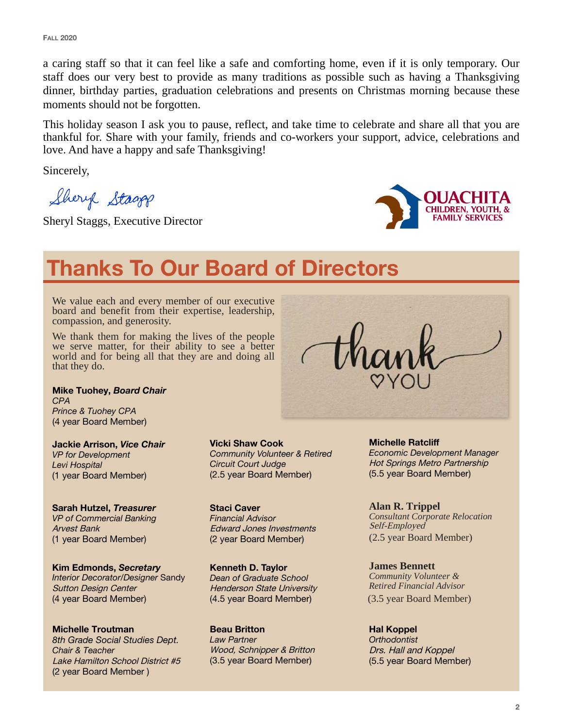a caring staff so that it can feel like a safe and comforting home, even if it is only temporary. Our staff does our very best to provide as many traditions as possible such as having a Thanksgiving dinner, birthday parties, graduation celebrations and presents on Christmas morning because these moments should not be forgotten.

This holiday season I ask you to pause, reflect, and take time to celebrate and share all that you are thankful for. Share with your family, friends and co-workers your support, advice, celebrations and love. And have a happy and safe Thanksgiving!

Sincerely,

Shery Stagg

Sheryl Staggs, Executive Director



# **Thanks To Our Board of Directors**

We value each and every member of our executive board and benefit from their expertise, leadership, compassion, and generosity.

We thank them for making the lives of the people we serve matter, for their ability to see a better world and for being all that they are and doing all that they do.

**Mike Tuohey,** *Board Chair CPA Prince & Tuohey CPA* (4 year Board Member)

**Jackie Arrison,** *Vice Chair VP for Development Levi Hospital* (1 year Board Member)

**Sarah Hutzel,** *Treasurer* *VP of Commercial Banking* Arvest Bank (1 year Board Member)

**Kim Edmonds,** *Secretary Interior Decorator/Designer* Sandy Sutton Design Center (4 year Board Member)

**Michelle Troutman** *8th Grade Social Studies Dept. Chair & Teacher* Lake Hamilton School District #5 (2 year Board Member )

**Vicki Shaw Cook** *Community Volunteer & Retired Circuit Court Judge* (2.5 year Board Member)

**Staci Caver** *Financial Advisor* Edward Jones Investments (2 year Board Member)

**Kenneth D. Taylor** *Dean of Graduate School* Henderson State University (4.5 year Board Member)

**Beau Britton**  *Law Partner* Wood, Schnipper & Britton (3.5 year Board Member)

**Michelle Ratcliff**  *Economic Development Manager* Hot Springs Metro Partnership (5.5 year Board Member)

**Alan R. Trippel**  *Consultant Corporate Relocation*  Self-Employed (2.5 year Board Member)

**James Bennett** *Community Volunteer & Retired Financial Advisor* (3.5 year Board Member)

**Hal Koppel** *Orthodontist* Drs. Hall and Koppel (5.5 year Board Member)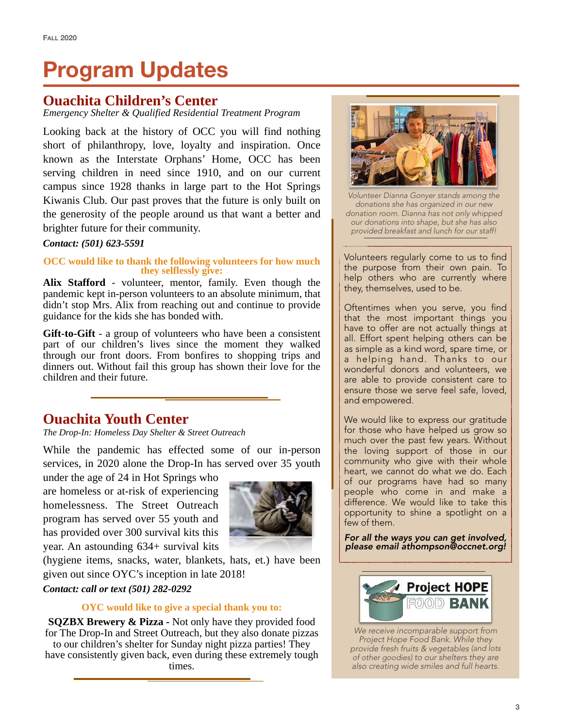# **Program Updates**

#### **Ouachita Children's Center**

*Emergency Shelter & Qualified Residential Treatment Program* 

Looking back at the history of OCC you will find nothing short of philanthropy, love, loyalty and inspiration. Once known as the Interstate Orphans' Home, OCC has been serving children in need since 1910, and on our current campus since 1928 thanks in large part to the Hot Springs Kiwanis Club. Our past proves that the future is only built on the generosity of the people around us that want a better and brighter future for their community.

#### *Contact: (501) 623-5591*

## **OCC would like to thank the following volunteers for how much they selflessly give:**

**Alix Stafford** - volunteer, mentor, family. Even though the pandemic kept in-person volunteers to an absolute minimum, that didn't stop Mrs. Alix from reaching out and continue to provide guidance for the kids she has bonded with.

**Gift-to-Gift** - a group of volunteers who have been a consistent part of our children's lives since the moment they walked through our front doors. From bonfires to shopping trips and dinners out. Without fail this group has shown their love for the children and their future.

#### **Ouachita Youth Center**

*The Drop-In: Homeless Day Shelter & Street Outreach* 

While the pandemic has effected some of our in-person services, in 2020 alone the Drop-In has served over 35 youth

under the age of 24 in Hot Springs who are homeless or at-risk of experiencing homelessness. The Street Outreach program has served over 55 youth and has provided over 300 survival kits this year. An astounding 634+ survival kits



(hygiene items, snacks, water, blankets, hats, et.) have been given out since OYC's inception in late 2018!

#### *Contact: call or text (501) 282-0292*

#### **OYC would like to give a special thank you to:**

**SQZBX Brewery & Pizza -** Not only have they provided food for The Drop-In and Street Outreach, but they also donate pizzas to our children's shelter for Sunday night pizza parties! They have consistently given back, even during these extremely tough times.



*Volunteer Dianna Gonyer stands among the donations she has organized in our new donation room. Dianna has not only whipped our donations into shape, but she has also provided breakfast and lunch for our staff!*

Volunteers regularly come to us to find the purpose from their own pain. To help others who are currently where they, themselves, used to be.

Oftentimes when you serve, you find that the most important things you have to offer are not actually things at all. Effort spent helping others can be as simple as a kind word, spare time, or a helping hand. Thanks to our wonderful donors and volunteers, we are able to provide consistent care to ensure those we serve feel safe, loved, and empowered.

We would like to express our gratitude for those who have helped us grow so much over the past few years. Without the loving support of those in our community who give with their whole heart, we cannot do what we do. Each of our programs have had so many people who come in and make a difference. We would like to take this opportunity to shine a spotlight on a few of them.

*For all the ways you can get involved, please email [athompson@occnet.org](mailto:athompson@occnet.org)!* 



*We receive incomparable support from Project Hope Food Bank. While they provide fresh fruits & vegetables (and lots of other goodies) to our shelters they are also creating wide smiles and full hearts.*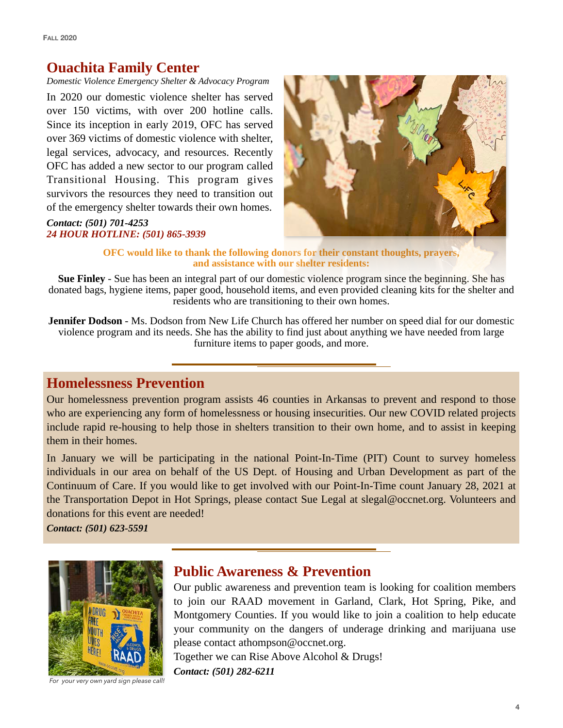### **Ouachita Family Center**

*Domestic Violence Emergency Shelter & Advocacy Program* 

In 2020 our domestic violence shelter has served over 150 victims, with over 200 hotline calls. Since its inception in early 2019, OFC has served over 369 victims of domestic violence with shelter, legal services, advocacy, and resources. Recently OFC has added a new sector to our program called Transitional Housing. This program gives survivors the resources they need to transition out of the emergency shelter towards their own homes.

#### *Contact: (501) 701-4253 24 HOUR HOTLINE: (501) 865-3939*



#### **OFC would like to thank the following donors for their constant thoughts, prayers, and assistance with our shelter residents:**

**Sue Finley** - Sue has been an integral part of our domestic violence program since the beginning. She has donated bags, hygiene items, paper good, household items, and even provided cleaning kits for the shelter and residents who are transitioning to their own homes.

**Jennifer Dodson - Ms.** Dodson from New Life Church has offered her number on speed dial for our domestic violence program and its needs. She has the ability to find just about anything we have needed from large furniture items to paper goods, and more.

### **Homelessness Prevention**

Our homelessness prevention program assists 46 counties in Arkansas to prevent and respond to those who are experiencing any form of homelessness or housing insecurities. Our new COVID related projects include rapid re-housing to help those in shelters transition to their own home, and to assist in keeping them in their homes.

In January we will be participating in the national Point-In-Time (PIT) Count to survey homeless individuals in our area on behalf of the US Dept. of Housing and Urban Development as part of the Continuum of Care. If you would like to get involved with our Point-In-Time count January 28, 2021 at the Transportation Depot in Hot Springs, please contact Sue Legal at slegal@occnet.org. Volunteers and donations for this event are needed!

*Contact: (501) 623-5591* 



*For your very own yard sign please call!*

#### **Public Awareness & Prevention**

Our public awareness and prevention team is looking for coalition members to join our RAAD movement in Garland, Clark, Hot Spring, Pike, and Montgomery Counties. If you would like to join a coalition to help educate your community on the dangers of underage drinking and marijuana use please contact [athompson@occnet.org](mailto:athompson@occnet.org).

Together we can Rise Above Alcohol & Drugs!

*Contact: (501) 282-6211*